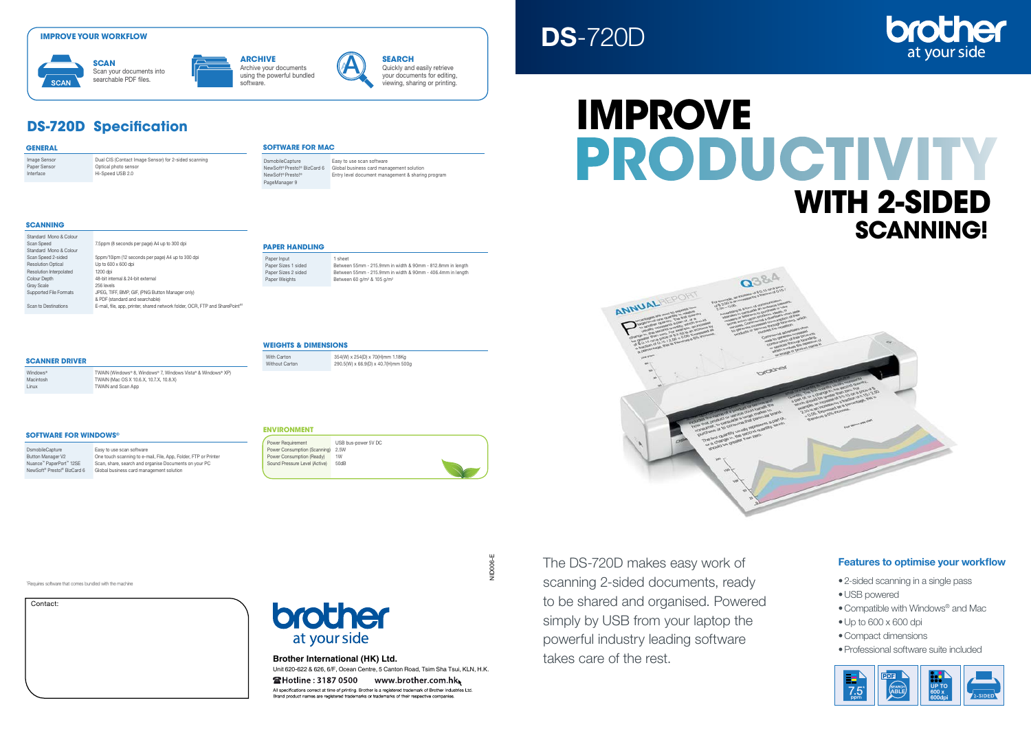## Features to optimise your workflow

- 2-sided scanning in a single pass
- •USB powered
- •Compatible with Windows® and Mac
- •Up to 600 x 600 dpi
- •Compact dimensions
- •Professional software suite included



Paper Sensor Optical photo sensor Interface Hi-Speed USB 2.0

> The DS-720D makes easy work of scanning 2-sided documents, ready to be shared and organised. Powered simply by USB from your laptop the powerful industry leading software takes care of the rest.



| Contact: |  |  |
|----------|--|--|
|          |  |  |
|          |  |  |
|          |  |  |
|          |  |  |
|          |  |  |

# brother at your side

1 Requires software that comes bundled with the machine

DsmobileCapture Easy to use scan software<br>Button Manager V2 Che touch scanning to e-r One touch scanning to e-mail, File, App, Folder, FTP or Printer Nuance™ PaperPort™ 12SE Scan, share, search and organise Documents on your PC NewSoft® Presto!® BizCard 6 Global business card management solution

Macintosh **TWAIN** (Mac OS X 10.6.X, 10.7.X, 10.8.X)

**GENERAL**

### **SOFTWARE FOR WINDOWS®**

**SOFTWARE FOR MAC**

NewSoft® Presto!® BizCard 6 Global business card management solution

Entry level document management & sharing program

PageManager 9

DsmobileCapture Easy to use scan software<br>NewSoft® Presto!® BizCard 6 Global business card mana

### **SCANNING**

Archive your documents **ARCHIVE**<br>Archive your documents<br>using the powerful bundled

> Unit 620-622 & 626, 6/F, Ocean Centre, 5 Canton Road, Tsim Sha Tsui, KLN, H.K. **@Hotline: 3187 0500 www.brother.com.hk**

All specifications correct at time of printing. Brother is a registered trademark of Brother Industries Ltd Brand product names are registered trademarks or trademarks of their respective companies.

**NID006-E** NID006-E

| Standard Mono & Colour        |                                                                                          |
|-------------------------------|------------------------------------------------------------------------------------------|
| Scan Speed                    | 7.5ppm (8 seconds per page) A4 up to 300 dpi                                             |
| Standard Mono & Colour        |                                                                                          |
| Scan Speed 2-sided            | 5ppm/10ipm (12 seconds per page) A4 up to 300 dpi                                        |
| <b>Resolution Optical</b>     | Up to 600 x 600 dpi                                                                      |
| Resolution Interpolated       | 1200 dpi                                                                                 |
| <b>Colour Depth</b>           | 48-bit internal & 24-bit external                                                        |
| <b>Gray Scale</b>             | 256 levels                                                                               |
| <b>Supported File Formats</b> | JPEG, TIFF, BMP, GIF, (PNG Button Manager only)                                          |
|                               | & PDF (standard and searchable)                                                          |
| Scan to Destinations          | E-mail, file, app, printer, shared network folder, OCR, FTP and SharePoint <sup>®1</sup> |
|                               |                                                                                          |

Windows® TWAIN (Windows® 8, Windows® 7, Windows Vista® & Windows® XP)

**SCANNER DRIVER**

# Linux TWAIN and Scan App

| 2.5W<br>Power Consumption (Ready)<br>1W<br>Sound Pressure Level (Active)<br>50dB | Power Requirement<br>Power Consumption (Scanning) |
|----------------------------------------------------------------------------------|---------------------------------------------------|
|----------------------------------------------------------------------------------|---------------------------------------------------|



Paper Input 1 sheet Paper Sizes 1 sided Between 55mm - 215.9mm in width & 90mm - 812.8mm in length Paper Sizes 2 sided Between 55mm - 215.9mm in width & 90mm - 406.4mm in length<br>Paper Weights Between 60 g/m<sup>2</sup> & 105 g/m<sup>2</sup> Paper Weights Between 60 g/m<sup>2</sup> & 105 g/m<sup>2</sup>

### **WEIGHTS & DIMENSIONS**

With Carton  $354(W) \times 254(D) \times 70(H)$ mm 1.18Kg<br>  $290.5(M) \times 66.9(D) \times 40.7(H)$ mm 50  $290.5(W) \times 66.9(D) \times 40.7(H)$ mm 500g

### **ENVIRONMENT**

# DS-720D

# **Improve**

# **productivity with 2-sided SCANNING!**

**SCAN** Scan your documents into searchable PDF files.

Image Sensor **Dual CIS (Contact Image Sensor)** for 2-sided scanning

# **ARCHIVE** software.

**SEARCH** Quickly and easily retrieve your documents for editing, viewing, sharing or printing.

**DS-720D Specification**

### **IMPROVE YOUR WORKFLOW**



### **Brother International (HK) Ltd.**